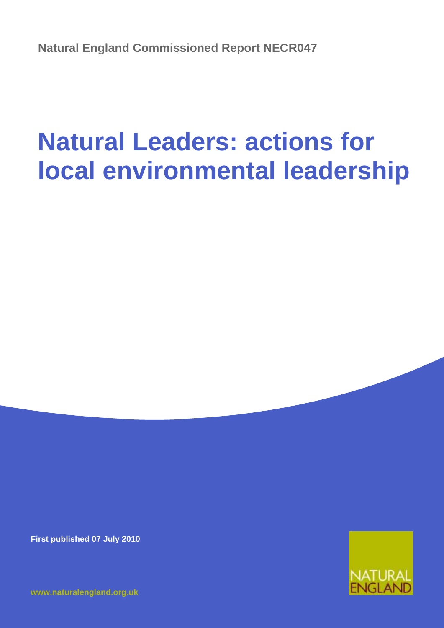**Natural England Commissioned Report NECR047**

# **Natural Leaders: actions for local environmental leadership**

**First published 07 July 2010**

**[www.naturalengland.org.uk](http://www.naturalengland.org.uk/)**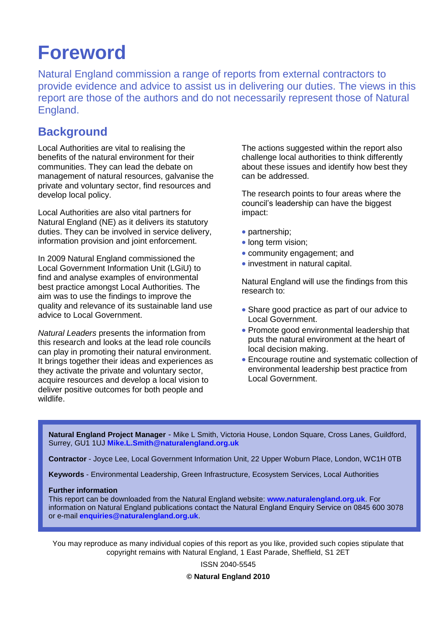## **Foreword**

Natural England commission a range of reports from external contractors to provide evidence and advice to assist us in delivering our duties. The views in this report are those of the authors and do not necessarily represent those of Natural England.

### **Background**

Local Authorities are vital to realising the benefits of the natural environment for their communities. They can lead the debate on management of natural resources, galvanise the private and voluntary sector, find resources and develop local policy.

Local Authorities are also vital partners for Natural England (NE) as it delivers its statutory duties. They can be involved in service delivery, information provision and joint enforcement.

In 2009 Natural England commissioned the Local Government Information Unit (LGiU) to find and analyse examples of environmental best practice amongst Local Authorities. The aim was to use the findings to improve the quality and relevance of its sustainable land use advice to Local Government.

*Natural Leaders* presents the information from this research and looks at the lead role councils can play in promoting their natural environment. It brings together their ideas and experiences as they activate the private and voluntary sector, acquire resources and develop a local vision to deliver positive outcomes for both people and wildlife.

The actions suggested within the report also challenge local authorities to think differently about these issues and identify how best they can be addressed.

The research points to four areas where the council's leadership can have the biggest impact:

- partnership;
- long term vision:
- community engagement; and
- investment in natural capital.

Natural England will use the findings from this research to:

- Share good practice as part of our advice to Local Government.
- Promote good environmental leadership that puts the natural environment at the heart of local decision making.
- Encourage routine and systematic collection of environmental leadership best practice from Local Government.

**Natural England Project Manager** - Mike L Smith, Victoria House, London Square, Cross Lanes, Guildford, Surrey, GU1 1UJ **[Mike.L.Smith@naturalengland.org.uk](mailto:Mike.L.Smith@naturalengland.org.uk)**

**Contractor** - Joyce Lee, Local Government Information Unit, 22 Upper Woburn Place, London, WC1H 0TB

**Keywords** - Environmental Leadership, Green Infrastructure, Ecosystem Services, Local Authorities

#### **Further information**

This report can be downloaded from the Natural England website: **[www.naturalengland.org.uk](http://www.naturalengland.org.uk/)**. For information on Natural England publications contact the Natural England Enquiry Service on 0845 600 3078 or e-mail **[enquiries@naturalengland.org.uk](mailto:enquiries@naturalengland.org.uk)**.

You may reproduce as many individual copies of this report as you like, provided such copies stipulate that copyright remains with Natural England, 1 East Parade, Sheffield, S1 2ET

> ISSN 2040-5545 **© Natural England 2010**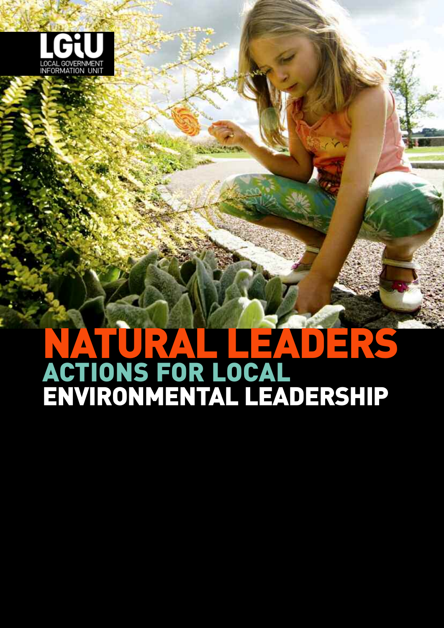

# **NATURAL LEADERS ACTIONS FOR LOCAL ENVIRONMENTAL LEADERSHIP**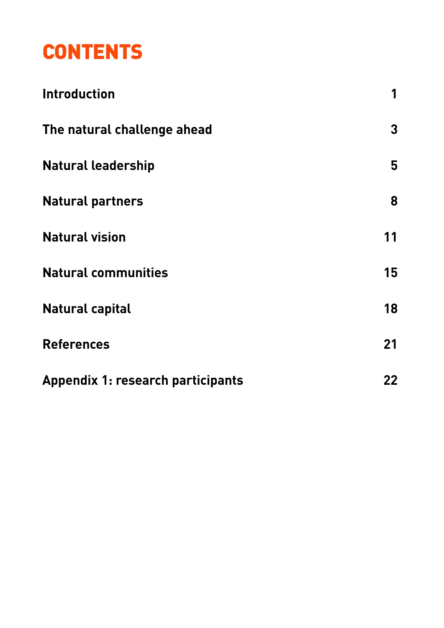## **CONTENTS**

| <b>Introduction</b>                      | 1  |
|------------------------------------------|----|
| The natural challenge ahead              | 3  |
| <b>Natural leadership</b>                | 5  |
| <b>Natural partners</b>                  | 8  |
| <b>Natural vision</b>                    | 11 |
| <b>Natural communities</b>               | 15 |
| <b>Natural capital</b>                   | 18 |
| <b>References</b>                        | 21 |
| <b>Appendix 1: research participants</b> | 22 |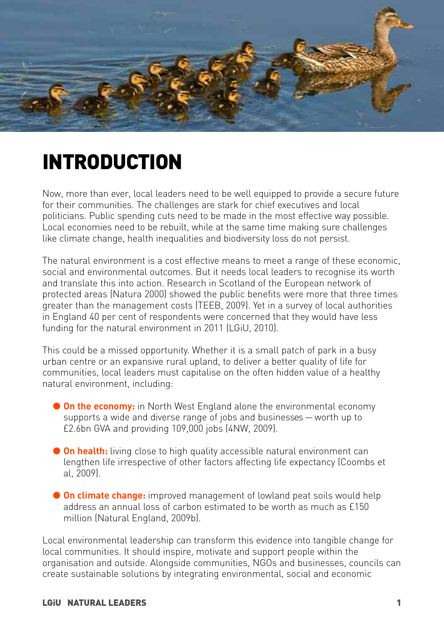

## **INTRODUCTION**

Now, more than ever, local leaders need to be well equipped to provide a secure future for their communities. The challenges are stark for chief executives and local politicians. Public spending cuts need to be made in the most effective way possible. Local economies need to be rebuilt, while at the same time making sure challenges like climate change, health inequalities and biodiversity loss do not persist.

The natural environment is a cost effective means to meet a range of these economic, social and environmental outcomes. But it needs local leaders to recognise its worth and translate this into action. Research in Scotland of the European network of protected areas (Natura 2000) showed the public benefits were more that three times greater than the management costs (TEEB, 2009). Yet in a survey of local authorities in England 40 per cent of respondents were concerned that they would have less funding for the natural environment in 2011 (LGiU, 2010).

This could be a missed opportunity. Whether it is a small patch of park in a busy urban centre or an expansive rural upland, to deliver a better quality of life for communities, local leaders must capitalise on the often hidden value of a healthy natural environment, including:

- **Con the economy:** in North West England alone the environmental economy supports a wide and diverse range of jobs and businesses — worth up to £2.6bn GVA and providing 109,000 jobs (4NW, 2009).
- **On health:** living close to high quality accessible natural environment can lengthen life irrespective of other factors affecting life expectancy (Coombs et al, 2009).
- **On climate change:** improved management of lowland peat soils would help address an annual loss of carbon estimated to be worth as much as £150 million (Natural England, 2009b).

Local environmental leadership can transform this evidence into tangible change for local communities. It should inspire, motivate and support people within the organisation and outside. Alongside communities, NGOs and businesses, councils can create sustainable solutions by integrating environmental, social and economic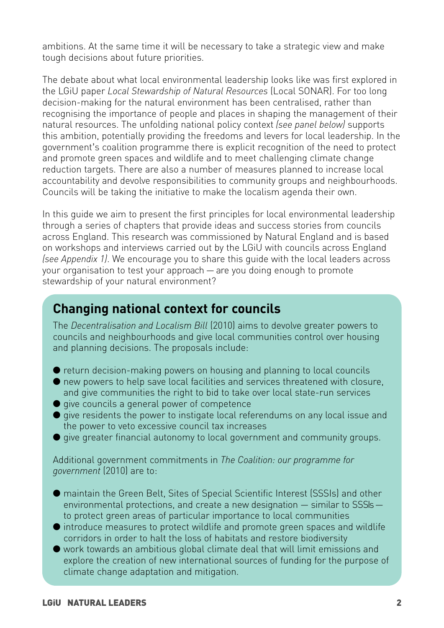ambitions. At the same time it will be necessary to take a strategic view and make tough decisions about future priorities.

The debate about what local environmental leadership looks like was first explored in the LGiU paper *Local Stewardship of Natural Resources* (Local SONAR). For too long decision-making for the natural environment has been centralised, rather than recognising the importance of people and places in shaping the management of their natural resources. The unfolding national policy context *(see panel below)* supports this ambition, potentially providing the freedoms and levers for local leadership. In the government's coalition programme there is explicit recognition of the need to protect and promote green spaces and wildlife and to meet challenging climate change reduction targets. There are also a number of measures planned to increase local accountability and devolve responsibilities to community groups and neighbourhoods. Councils will be taking the initiative to make the localism agenda their own.

In this guide we aim to present the first principles for local environmental leadership through a series of chapters that provide ideas and success stories from councils across England. This research was commissioned by Natural England and is based on workshops and interviews carried out by the LGiU with councils across England *(see Appendix 1)*. We encourage you to share this guide with the local leaders across your organisation to test your approach — are you doing enough to promote stewardship of your natural environment?

### **Changing national context for councils**

The *Decentralisation and Localism Bill* (2010) aims to devolve greater powers to councils and neighbourhoods and give local communities control over housing and planning decisions. The proposals include:

- return decision-making powers on housing and planning to local councils
- new powers to help save local facilities and services threatened with closure, and give communities the right to bid to take over local state-run services
- give councils a general power of competence
- give residents the power to instigate local referendums on any local issue and the power to veto excessive council tax increases
- give greater financial autonomy to local government and community groups.

Additional government commitments in *The Coalition: our programme for government* (2010) are to:

- maintain the Green Belt, Sites of Special Scientific Interest (SSSIs) and other environmental protections, and create a new designation — similar to SSSIs to protect green areas of particular importance to local communities
- introduce measures to protect wildlife and promote green spaces and wildlife corridors in order to halt the loss of habitats and restore biodiversity
- work towards an ambitious global climate deal that will limit emissions and explore the creation of new international sources of funding for the purpose of climate change adaptation and mitigation.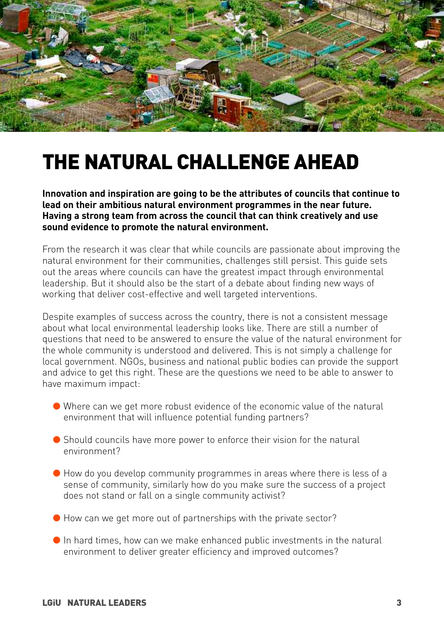

## **THE NATURAL CHALLENGE AHEAD**

**Innovation and inspiration are going to be the attributes of councils that continue to lead on their ambitious natural environment programmes in the near future. Having a strong team from across the council that can think creatively and use sound evidence to promote the natural environment.** 

From the research it was clear that while councils are passionate about improving the natural environment for their communities, challenges still persist. This guide sets out the areas where councils can have the greatest impact through environmental leadership. But it should also be the start of a debate about finding new ways of working that deliver cost-effective and well targeted interventions.

Despite examples of success across the country, there is not a consistent message about what local environmental leadership looks like. There are still a number of questions that need to be answered to ensure the value of the natural environment for the whole community is understood and delivered. This is not simply a challenge for local government. NGOs, business and national public bodies can provide the support and advice to get this right. These are the questions we need to be able to answer to have maximum impact:

- Where can we get more robust evidence of the economic value of the natural environment that will influence potential funding partners?
- Should councils have more power to enforce their vision for the natural environment?
- How do you develop community programmes in areas where there is less of a sense of community, similarly how do you make sure the success of a project does not stand or fall on a single community activist?
- How can we get more out of partnerships with the private sector?
- $\bullet$  In hard times, how can we make enhanced public investments in the natural environment to deliver greater efficiency and improved outcomes?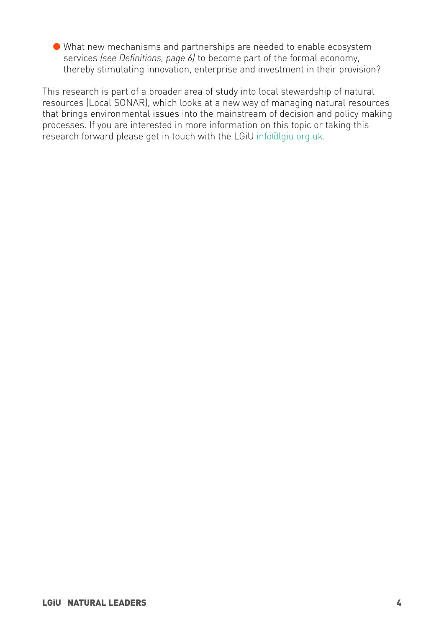● What new mechanisms and partnerships are needed to enable ecosystem services *(see Definitions, page 6)* to become part of the formal economy, thereby stimulating innovation, enterprise and investment in their provision?

This research is part of a broader area of study into local stewardship of natural resources (Local SONAR), which looks at a new way of managing natural resources that brings environmental issues into the mainstream of decision and policy making processes. If you are interested in more information on this topic or taking this research forward please get in touch with the LGiU info@lgiu.org.uk.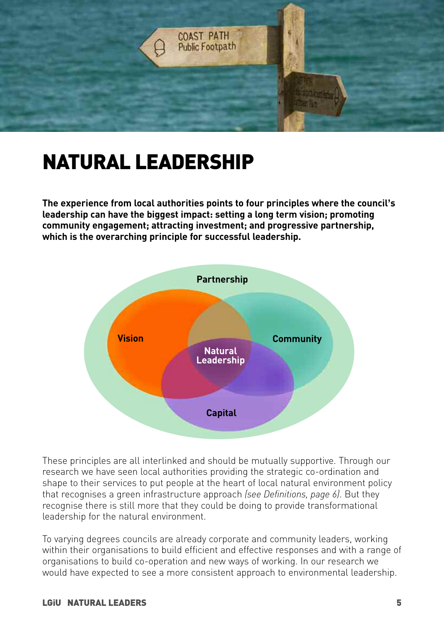

## **NATURAL LEADERSHIP**

**The experience from local authorities points to four principles where the council's leadership can have the biggest impact: setting a long term vision; promoting community engagement; attracting investment; and progressive partnership, which is the overarching principle for successful leadership.** 



These principles are all interlinked and should be mutually supportive. Through our research we have seen local authorities providing the strategic co-ordination and shape to their services to put people at the heart of local natural environment policy that recognises a green infrastructure approach *(see Definitions, page 6)*. But they recognise there is still more that they could be doing to provide transformational leadership for the natural environment.

To varying degrees councils are already corporate and community leaders, working within their organisations to build efficient and effective responses and with a range of organisations to build co-operation and new ways of working. In our research we would have expected to see a more consistent approach to environmental leadership.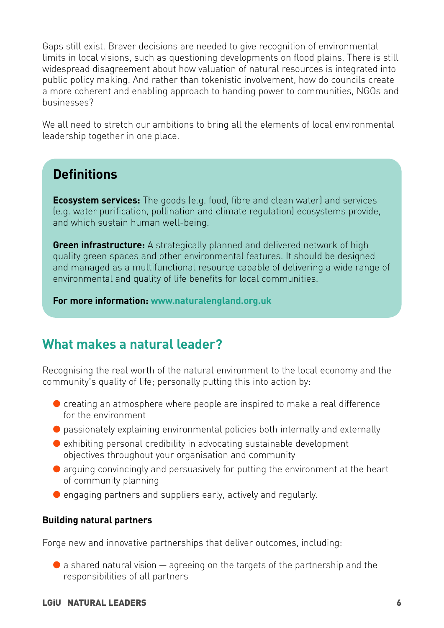Gaps still exist. Braver decisions are needed to give recognition of environmental limits in local visions, such as questioning developments on flood plains. There is still widespread disagreement about how valuation of natural resources is integrated into public policy making. And rather than tokenistic involvement, how do councils create a more coherent and enabling approach to handing power to communities, NGOs and businesses?

We all need to stretch our ambitions to bring all the elements of local environmental leadership together in one place.

## **Definitions**

**Ecosystem services:** The goods (e.g. food, fibre and clean water) and services (e.g. water purification, pollination and climate regulation) ecosystems provide, and which sustain human well-being.

**Green infrastructure:** A strategically planned and delivered network of high quality green spaces and other environmental features. It should be designed and managed as a multifunctional resource capable of delivering a wide range of environmental and quality of life benefits for local communities.

**For more information: [www.naturalengland.org.uk](http://www.naturalengland.org.uk)**

## **What makes a natural leader?**

Recognising the real worth of the natural environment to the local economy and the community's quality of life; personally putting this into action by:

- creating an atmosphere where people are inspired to make a real difference for the environment
- passionately explaining environmental policies both internally and externally
- $\bullet$  exhibiting personal credibility in advocating sustainable development objectives throughout your organisation and community
- arguing convincingly and persuasively for putting the environment at the heart of community planning
- engaging partners and suppliers early, actively and regularly.

### **Building natural partners**

Forge new and innovative partnerships that deliver outcomes, including:

 $\bullet$  a shared natural vision  $-$  agreeing on the targets of the partnership and the responsibilities of all partners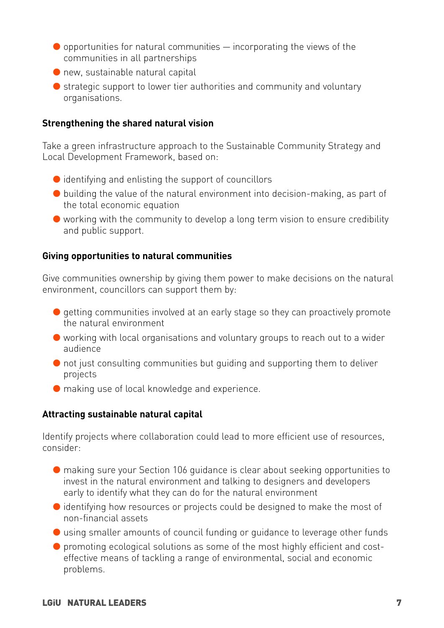- $\bullet$  opportunities for natural communities  $-$  incorporating the views of the communities in all partnerships
- $\bullet$  new, sustainable natural capital
- strategic support to lower tier authorities and community and voluntary organisations.

### **Strengthening the shared natural vision**

Take a green infrastructure approach to the Sustainable Community Strategy and Local Development Framework, based on:

- $\bullet$  identifying and enlisting the support of councillors
- $\bullet$  building the value of the natural environment into decision-making, as part of the total economic equation
- working with the community to develop a long term vision to ensure credibility and public support.

### **Giving opportunities to natural communities**

Give communities ownership by giving them power to make decisions on the natural environment, councillors can support them by:

- getting communities involved at an early stage so they can proactively promote the natural environment
- working with local organisations and voluntary groups to reach out to a wider audience
- not just consulting communities but quiding and supporting them to deliver projects
- making use of local knowledge and experience.

#### **Attracting sustainable natural capital**

Identify projects where collaboration could lead to more efficient use of resources, consider:

- making sure your Section 106 guidance is clear about seeking opportunities to invest in the natural environment and talking to designers and developers early to identify what they can do for the natural environment
- identifying how resources or projects could be designed to make the most of non-financial assets
- using smaller amounts of council funding or quidance to leverage other funds
- promoting ecological solutions as some of the most highly efficient and costeffective means of tackling a range of environmental, social and economic problems.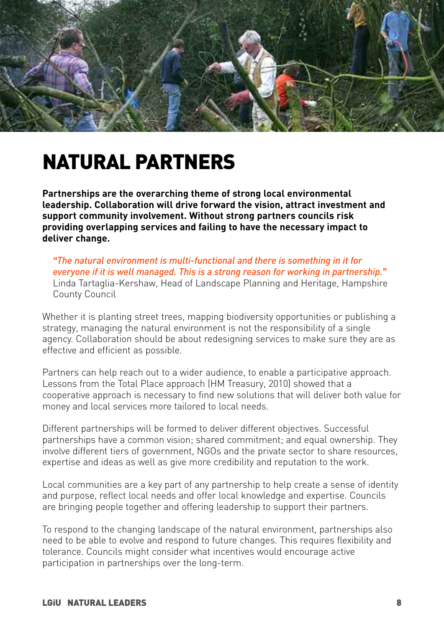

## **NATURAL PARTNERS**

**Partnerships are the overarching theme of strong local environmental leadership. Collaboration will drive forward the vision, attract investment and support community involvement. Without strong partners councils risk providing overlapping services and failing to have the necessary impact to deliver change.**

*"The natural environment is multi-functional and there is something in it for everyone if it is well managed. This is a strong reason for working in partnership."* Linda Tartaglia-Kershaw, Head of Landscape Planning and Heritage, Hampshire County Council

Whether it is planting street trees, mapping biodiversity opportunities or publishing a strategy, managing the natural environment is not the responsibility of a single agency. Collaboration should be about redesigning services to make sure they are as effective and efficient as possible.

Partners can help reach out to a wider audience, to enable a participative approach. Lessons from the Total Place approach (HM Treasury, 2010) showed that a cooperative approach is necessary to find new solutions that will deliver both value for money and local services more tailored to local needs.

Different partnerships will be formed to deliver different objectives. Successful partnerships have a common vision; shared commitment; and equal ownership. They involve different tiers of government, NGOs and the private sector to share resources, expertise and ideas as well as give more credibility and reputation to the work.

Local communities are a key part of any partnership to help create a sense of identity and purpose, reflect local needs and offer local knowledge and expertise. Councils are bringing people together and offering leadership to support their partners.

To respond to the changing landscape of the natural environment, partnerships also need to be able to evolve and respond to future changes. This requires flexibility and tolerance. Councils might consider what incentives would encourage active participation in partnerships over the long-term.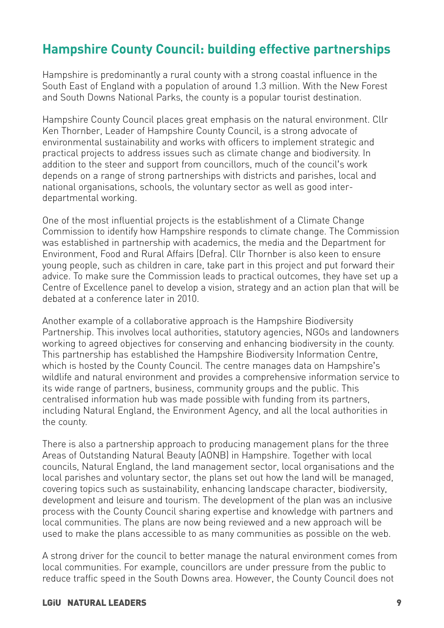## **Hampshire County Council: building effective partnerships**

Hampshire is predominantly a rural county with a strong coastal influence in the South East of England with a population of around 1.3 million. With the New Forest and South Downs National Parks, the county is a popular tourist destination.

Hampshire County Council places great emphasis on the natural environment. Cllr Ken Thornber, Leader of Hampshire County Council, is a strong advocate of environmental sustainability and works with officers to implement strategic and practical projects to address issues such as climate change and biodiversity. In addition to the steer and support from councillors, much of the council's work depends on a range of strong partnerships with districts and parishes, local and national organisations, schools, the voluntary sector as well as good interdepartmental working.

One of the most influential projects is the establishment of a Climate Change Commission to identify how Hampshire responds to climate change. The Commission was established in partnership with academics, the media and the Department for Environment, Food and Rural Affairs (Defra). Cllr Thornber is also keen to ensure young people, such as children in care, take part in this project and put forward their advice. To make sure the Commission leads to practical outcomes, they have set up a Centre of Excellence panel to develop a vision, strategy and an action plan that will be debated at a conference later in 2010.

Another example of a collaborative approach is the Hampshire Biodiversity Partnership. This involves local authorities, statutory agencies, NGOs and landowners working to agreed objectives for conserving and enhancing biodiversity in the county. This partnership has established the Hampshire Biodiversity Information Centre, which is hosted by the County Council. The centre manages data on Hampshire's wildlife and natural environment and provides a comprehensive information service to its wide range of partners, business, community groups and the public. This centralised information hub was made possible with funding from its partners, including Natural England, the Environment Agency, and all the local authorities in the county.

There is also a partnership approach to producing management plans for the three Areas of Outstanding Natural Beauty (AONB) in Hampshire. Together with local councils, Natural England, the land management sector, local organisations and the local parishes and voluntary sector, the plans set out how the land will be managed, covering topics such as sustainability, enhancing landscape character, biodiversity, development and leisure and tourism. The development of the plan was an inclusive process with the County Council sharing expertise and knowledge with partners and local communities. The plans are now being reviewed and a new approach will be used to make the plans accessible to as many communities as possible on the web.

A strong driver for the council to better manage the natural environment comes from local communities. For example, councillors are under pressure from the public to reduce traffic speed in the South Downs area. However, the County Council does not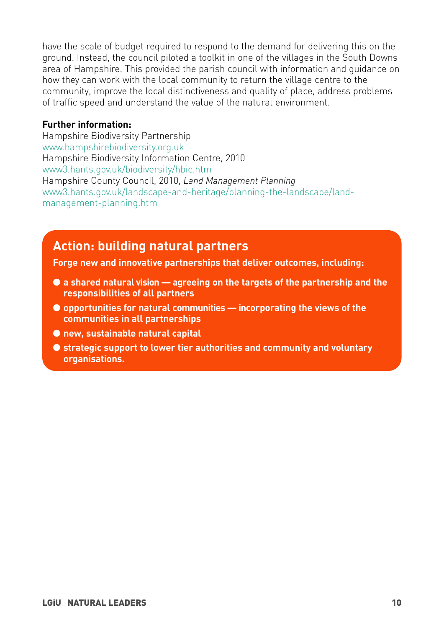have the scale of budget required to respond to the demand for delivering this on the ground. Instead, the council piloted a toolkit in one of the villages in the South Downs area of Hampshire. This provided the parish council with information and guidance on how they can work with the local community to return the village centre to the community, improve the local distinctiveness and quality of place, address problems of traffic speed and understand the value of the natural environment.

#### **Further information:**

Hampshire Biodiversity Partnership [www.hampshirebiodiversity.org.uk](http://www.hampshirebiodiversity.org.uk/) Hampshire Biodiversity Information Centre, 2010 [www3.hants.gov.uk/biodiversity/hbic.htm](http://www3.hants.gov.uk/biodiversity/hbic.htm) Hampshire County Council, 2010, *Land Management Planning* [www3.hants.gov.uk/landscape-and-heritage/planning-the-landscape/land](www3.hants.gov.uk/landscape-and-heritage/planning-the-landscape/land-management-planning.htm)[management-planning.htm](www3.hants.gov.uk/landscape-and-heritage/planning-the-landscape/land-management-planning.htm)

### **Action: building natural partners**

**Forge new and innovative partnerships that deliver outcomes, including:**

- **a shared natural vision agreeing on the targets of the partnership and the responsibilities of all partners**
- **opportunities for natural communities incorporating the views of the communities in all partnerships**
- **new, sustainable natural capital**
- **strategic support to lower tier authorities and community and voluntary organisations.**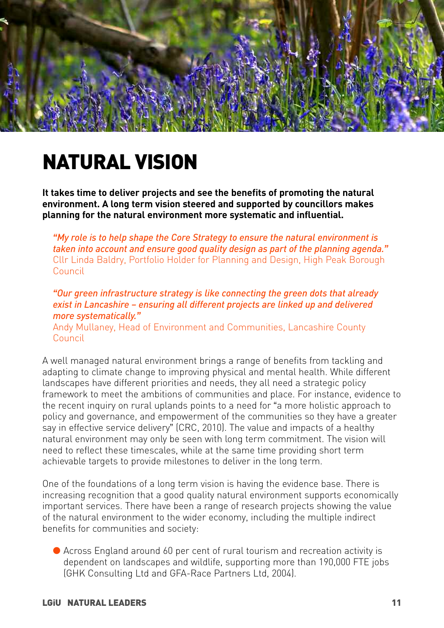

## **NATURAL VISION**

**It takes time to deliver projects and see the benefits of promoting the natural environment. A long term vision steered and supported by councillors makes planning for the natural environment more systematic and influential.**

*"My role is to help shape the Core Strategy to ensure the natural environment is taken into account and ensure good quality design as part of the planning agenda."* Cllr Linda Baldry, Portfolio Holder for Planning and Design, High Peak Borough Council

*"Our green infrastructure strategy is like connecting the green dots that already exist in Lancashire – ensuring all different projects are linked up and delivered more systematically."* Andy Mullaney, Head of Environment and Communities, Lancashire County Council

A well managed natural environment brings a range of benefits from tackling and adapting to climate change to improving physical and mental health. While different landscapes have different priorities and needs, they all need a strategic policy framework to meet the ambitions of communities and place. For instance, evidence to the recent inquiry on rural uplands points to a need for "a more holistic approach to policy and governance, and empowerment of the communities so they have a greater say in effective service delivery" (CRC, 2010). The value and impacts of a healthy natural environment may only be seen with long term commitment. The vision will need to reflect these timescales, while at the same time providing short term achievable targets to provide milestones to deliver in the long term.

One of the foundations of a long term vision is having the evidence base. There is increasing recognition that a good quality natural environment supports economically important services. There have been a range of research projects showing the value of the natural environment to the wider economy, including the multiple indirect benefits for communities and society:

● Across England around 60 per cent of rural tourism and recreation activity is dependent on landscapes and wildlife, supporting more than 190,000 FTE jobs (GHK Consulting Ltd and GFA-Race Partners Ltd, 2004).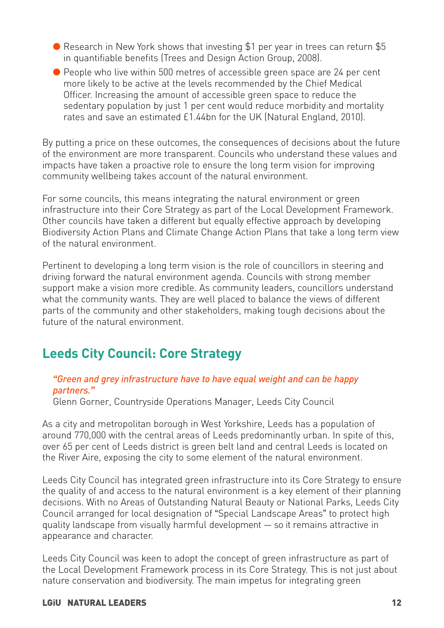- Research in New York shows that investing \$1 per year in trees can return \$5 in quantifiable benefits (Trees and Design Action Group, 2008).
- People who live within 500 metres of accessible green space are 24 per cent more likely to be active at the levels recommended by the Chief Medical Officer. Increasing the amount of accessible green space to reduce the sedentary population by just 1 per cent would reduce morbidity and mortality rates and save an estimated £1.44bn for the UK (Natural England, 2010).

By putting a price on these outcomes, the consequences of decisions about the future of the environment are more transparent. Councils who understand these values and impacts have taken a proactive role to ensure the long term vision for improving community wellbeing takes account of the natural environment.

For some councils, this means integrating the natural environment or green infrastructure into their Core Strategy as part of the Local Development Framework. Other councils have taken a different but equally effective approach by developing Biodiversity Action Plans and Climate Change Action Plans that take a long term view of the natural environment.

Pertinent to developing a long term vision is the role of councillors in steering and driving forward the natural environment agenda. Councils with strong member support make a vision more credible. As community leaders, councillors understand what the community wants. They are well placed to balance the views of different parts of the community and other stakeholders, making tough decisions about the future of the natural environment.

## **Leeds City Council: Core Strategy**

### *"Green and grey infrastructure have to have equal weight and can be happy partners."*

Glenn Gorner, Countryside Operations Manager, Leeds City Council

As a city and metropolitan borough in West Yorkshire, Leeds has a population of around 770,000 with the central areas of Leeds predominantly urban. In spite of this, over 65 per cent of Leeds district is green belt land and central Leeds is located on the River Aire, exposing the city to some element of the natural environment.

Leeds City Council has integrated green infrastructure into its Core Strategy to ensure the quality of and access to the natural environment is a key element of their planning decisions. With no Areas of Outstanding Natural Beauty or National Parks, Leeds City Council arranged for local designation of "Special Landscape Areas" to protect high quality landscape from visually harmful development — so it remains attractive in appearance and character.

Leeds City Council was keen to adopt the concept of green infrastructure as part of the Local Development Framework process in its Core Strategy. This is not just about nature conservation and biodiversity. The main impetus for integrating green

#### **LGiU NATURAL LEADERS 12**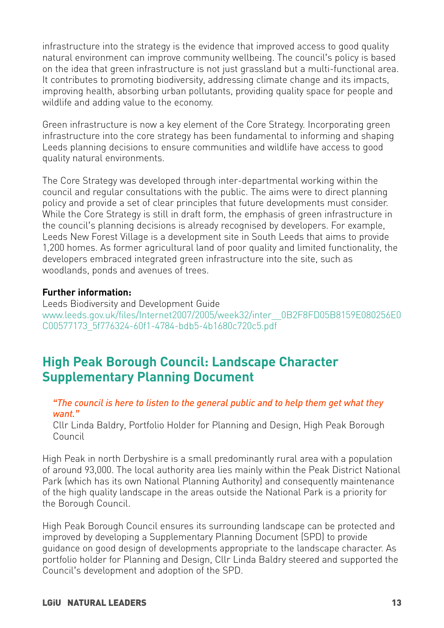infrastructure into the strategy is the evidence that improved access to good quality natural environment can improve community wellbeing. The council's policy is based on the idea that green infrastructure is not just grassland but a multi-functional area. It contributes to promoting biodiversity, addressing climate change and its impacts, improving health, absorbing urban pollutants, providing quality space for people and wildlife and adding value to the economy.

Green infrastructure is now a key element of the Core Strategy. Incorporating green infrastructure into the core strategy has been fundamental to informing and shaping Leeds planning decisions to ensure communities and wildlife have access to good quality natural environments.

The Core Strategy was developed through inter-departmental working within the council and regular consultations with the public. The aims were to direct planning policy and provide a set of clear principles that future developments must consider. While the Core Strategy is still in draft form, the emphasis of green infrastructure in the council's planning decisions is already recognised by developers. For example, Leeds New Forest Village is a development site in South Leeds that aims to provide 1,200 homes. As former agricultural land of poor quality and limited functionality, the developers embraced integrated green infrastructure into the site, such as woodlands, ponds and avenues of trees.

### **Further information:**

Leeds Biodiversity and Development Guide [www.leeds.gov.uk/files/Internet2007/2005/week32/inter\\_\\_0B2F8FD05B8159E080256E0](www.leeds.gov.uk/files/Internet2007/2005/week32/inter__0B2F8FD05B8159E080256E0C00577173_5f776324-60f1-4784-bdb5-4b1680c720c5.pdf) [C00577173\\_5f776324-60f1-4784-bdb5-4b1680c720c5.pdf](www.leeds.gov.uk/files/Internet2007/2005/week32/inter__0B2F8FD05B8159E080256E0C00577173_5f776324-60f1-4784-bdb5-4b1680c720c5.pdf)

## **High Peak Borough Council: Landscape Character Supplementary Planning Document**

### *"The council is here to listen to the general public and to help them get what they want."*

Cllr Linda Baldry, Portfolio Holder for Planning and Design, High Peak Borough Council

High Peak in north Derbyshire is a small predominantly rural area with a population of around 93,000. The local authority area lies mainly within the Peak District National Park (which has its own National Planning Authority) and consequently maintenance of the high quality landscape in the areas outside the National Park is a priority for the Borough Council.

High Peak Borough Council ensures its surrounding landscape can be protected and improved by developing a Supplementary Planning Document (SPD) to provide guidance on good design of developments appropriate to the landscape character. As portfolio holder for Planning and Design, Cllr Linda Baldry steered and supported the Council's development and adoption of the SPD.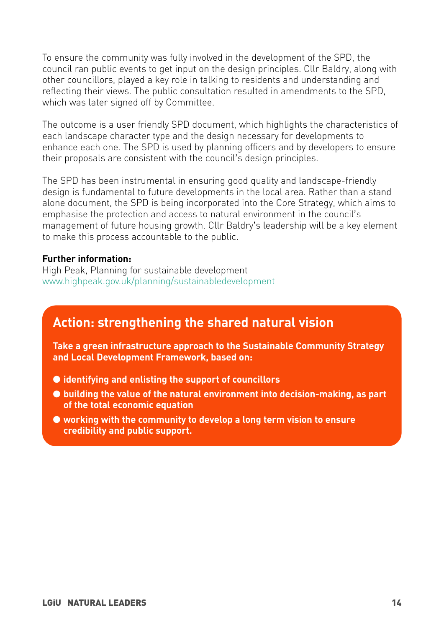To ensure the community was fully involved in the development of the SPD, the council ran public events to get input on the design principles. Cllr Baldry, along with other councillors, played a key role in talking to residents and understanding and reflecting their views. The public consultation resulted in amendments to the SPD, which was later signed off by Committee.

The outcome is a user friendly SPD document, which highlights the characteristics of each landscape character type and the design necessary for developments to enhance each one. The SPD is used by planning officers and by developers to ensure their proposals are consistent with the council's design principles.

The SPD has been instrumental in ensuring good quality and landscape-friendly design is fundamental to future developments in the local area. Rather than a stand alone document, the SPD is being incorporated into the Core Strategy, which aims to emphasise the protection and access to natural environment in the council's management of future housing growth. Cllr Baldry's leadership will be a key element to make this process accountable to the public.

#### **Further information:**

High Peak, Planning for sustainable development <www.highpeak.gov.uk/planning/sustainabledevelopment>

## **Action: strengthening the shared natural vision**

**Take a green infrastructure approach to the Sustainable Community Strategy and Local Development Framework, based on:**

- **identifying and enlisting the support of councillors**
- **building the value of the natural environment into decision-making, as part of the total economic equation**
- **working with the community to develop a long term vision to ensure credibility and public support.**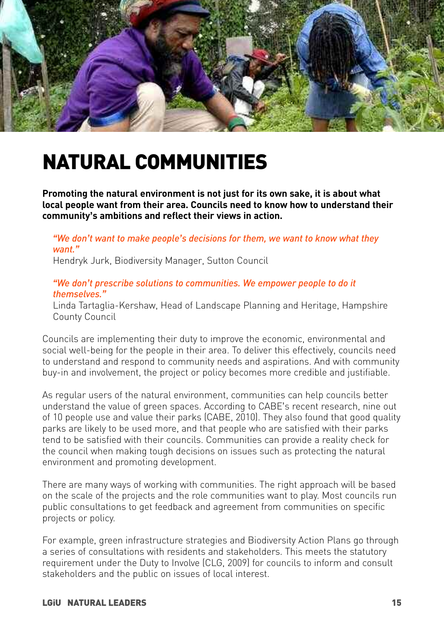

## **NATURAL COMMUNITIES**

**Promoting the natural environment is not just for its own sake, it is about what local people want from their area. Councils need to know how to understand their community's ambitions and reflect their views in action.**

*"We don't want to make people's decisions for them, we want to know what they want."* Hendryk Jurk, Biodiversity Manager, Sutton Council

#### *"We don't prescribe solutions to communities. We empower people to do it themselves."*

Linda Tartaglia-Kershaw, Head of Landscape Planning and Heritage, Hampshire County Council

Councils are implementing their duty to improve the economic, environmental and social well-being for the people in their area. To deliver this effectively, councils need to understand and respond to community needs and aspirations. And with community buy-in and involvement, the project or policy becomes more credible and justifiable.

As regular users of the natural environment, communities can help councils better understand the value of green spaces. According to CABE's recent research, nine out of 10 people use and value their parks (CABE, 2010). They also found that good quality parks are likely to be used more, and that people who are satisfied with their parks tend to be satisfied with their councils. Communities can provide a reality check for the council when making tough decisions on issues such as protecting the natural environment and promoting development.

There are many ways of working with communities. The right approach will be based on the scale of the projects and the role communities want to play. Most councils run public consultations to get feedback and agreement from communities on specific projects or policy.

For example, green infrastructure strategies and Biodiversity Action Plans go through a series of consultations with residents and stakeholders. This meets the statutory requirement under the Duty to Involve (CLG, 2009) for councils to inform and consult stakeholders and the public on issues of local interest.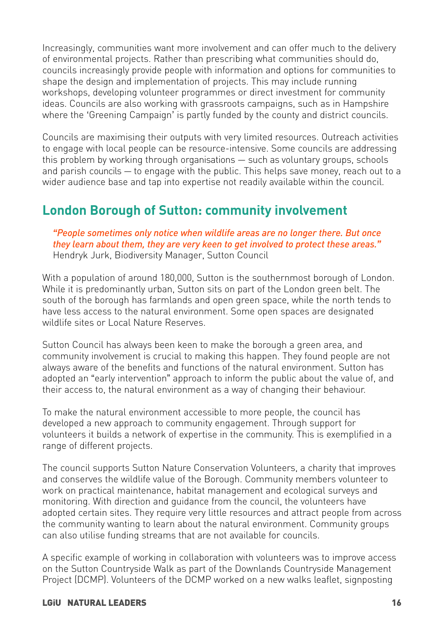Increasingly, communities want more involvement and can offer much to the delivery of environmental projects. Rather than prescribing what communities should do, councils increasingly provide people with information and options for communities to shape the design and implementation of projects. This may include running workshops, developing volunteer programmes or direct investment for community ideas. Councils are also working with grassroots campaigns, such as in Hampshire where the 'Greening Campaign' is partly funded by the county and district councils.

Councils are maximising their outputs with very limited resources. Outreach activities to engage with local people can be resource-intensive. Some councils are addressing this problem by working through organisations — such as voluntary groups, schools and parish councils — to engage with the public. This helps save money, reach out to a wider audience base and tap into expertise not readily available within the council.

## **London Borough of Sutton: community involvement**

*"People sometimes only notice when wildlife areas are no longer there. But once they learn about them, they are very keen to get involved to protect these areas."* Hendryk Jurk, Biodiversity Manager, Sutton Council

With a population of around 180,000, Sutton is the southernmost borough of London. While it is predominantly urban, Sutton sits on part of the London green belt. The south of the borough has farmlands and open green space, while the north tends to have less access to the natural environment. Some open spaces are designated wildlife sites or Local Nature Reserves.

Sutton Council has always been keen to make the borough a green area, and community involvement is crucial to making this happen. They found people are not always aware of the benefits and functions of the natural environment. Sutton has adopted an "early intervention" approach to inform the public about the value of, and their access to, the natural environment as a way of changing their behaviour.

To make the natural environment accessible to more people, the council has developed a new approach to community engagement. Through support for volunteers it builds a network of expertise in the community. This is exemplified in a range of different projects.

The council supports Sutton Nature Conservation Volunteers, a charity that improves and conserves the wildlife value of the Borough. Community members volunteer to work on practical maintenance, habitat management and ecological surveys and monitoring. With direction and guidance from the council, the volunteers have adopted certain sites. They require very little resources and attract people from across the community wanting to learn about the natural environment. Community groups can also utilise funding streams that are not available for councils.

A specific example of working in collaboration with volunteers was to improve access on the Sutton Countryside Walk as part of the Downlands Countryside Management Project (DCMP). Volunteers of the DCMP worked on a new walks leaflet, signposting

### **LGiU NATURAL LEADERS 16**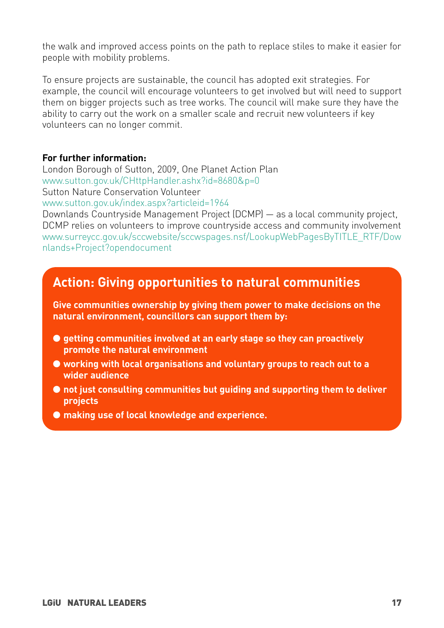the walk and improved access points on the path to replace stiles to make it easier for people with mobility problems.

To ensure projects are sustainable, the council has adopted exit strategies. For example, the council will encourage volunteers to get involved but will need to support them on bigger projects such as tree works. The council will make sure they have the ability to carry out the work on a smaller scale and recruit new volunteers if key volunteers can no longer commit.

### **For further information:**

London Borough of Sutton, 2009, One Planet Action Plan [www.sutton.gov.uk/CHttpHandler.ashx?id=8680&p=0](www.sutton.gov.uk/CHttpHandler.ashx?id=8680&p=0 )  Sutton Nature Conservation Volunteer <www.sutton.gov.uk/index.aspx?articleid=1964>

Downlands Countryside Management Project (DCMP) — as a local community project, DCMP relies on volunteers to improve countryside access and community involvement [www.surreycc.gov.uk/sccwebsite/sccwspages.nsf/LookupWebPagesByTITLE\\_RTF/Dow](www.surreycc.gov.uk/sccwebsite/sccwspages.nsf/LookupWebPagesByTITLE_RTF/Downlands+Project?opendocument) [nlands+Project?opendocument](www.surreycc.gov.uk/sccwebsite/sccwspages.nsf/LookupWebPagesByTITLE_RTF/Downlands+Project?opendocument)

## **Action: Giving opportunities to natural communities**

**Give communities ownership by giving them power to make decisions on the natural environment, councillors can support them by:**

- **getting communities involved at an early stage so they can proactively promote the natural environment**
- **working with local organisations and voluntary groups to reach out to a wider audience**
- **not just consulting communities but guiding and supporting them to deliver projects**
- **making use of local knowledge and experience.**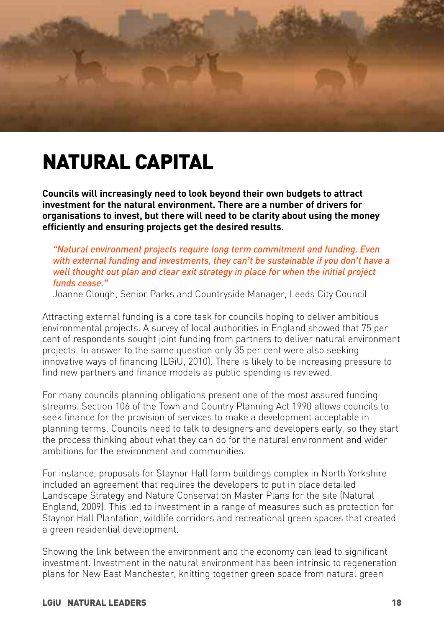

## **NATURAL CAPITAL**

**Councils will increasingly need to look beyond their own budgets to attract investment for the natural environment. There are a number of drivers for organisations to invest, but there will need to be clarity about using the money efficiently and ensuring projects get the desired results.** 

### *"Natural environment projects require long term commitment and funding. Even with external funding and investments, they can't be sustainable if you don't have a well thought out plan and clear exit strategy in place for when the initial project funds cease."*

Joanne Clough, Senior Parks and Countryside Manager, Leeds City Council

Attracting external funding is a core task for councils hoping to deliver ambitious environmental projects. A survey of local authorities in England showed that 75 per cent of respondents sought joint funding from partners to deliver natural environment projects. In answer to the same question only 35 per cent were also seeking innovative ways of financing (LGiU, 2010). There is likely to be increasing pressure to find new partners and finance models as public spending is reviewed.

For many councils planning obligations present one of the most assured funding streams. Section 106 of the Town and Country Planning Act 1990 allows councils to seek finance for the provision of services to make a development acceptable in planning terms. Councils need to talk to designers and developers early, so they start the process thinking about what they can do for the natural environment and wider ambitions for the environment and communities.

For instance, proposals for Staynor Hall farm buildings complex in North Yorkshire included an agreement that requires the developers to put in place detailed Landscape Strategy and Nature Conservation Master Plans for the site (Natural England, 2009). This led to investment in a range of measures such as protection for Staynor Hall Plantation, wildlife corridors and recreational green spaces that created a green residential development.

Showing the link between the environment and the economy can lead to significant investment. Investment in the natural environment has been intrinsic to regeneration plans for New East Manchester, knitting together green space from natural green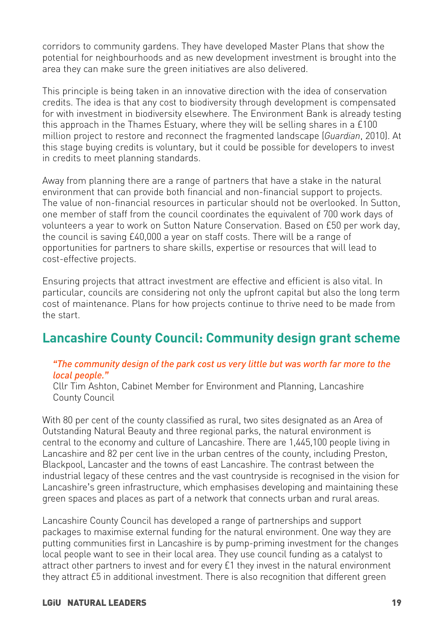corridors to community gardens. They have developed Master Plans that show the potential for neighbourhoods and as new development investment is brought into the area they can make sure the green initiatives are also delivered.

This principle is being taken in an innovative direction with the idea of conservation credits. The idea is that any cost to biodiversity through development is compensated for with investment in biodiversity elsewhere. The Environment Bank is already testing this approach in the Thames Estuary, where they will be selling shares in a £100 million project to restore and reconnect the fragmented landscape (*Guardian*, 2010). At this stage buying credits is voluntary, but it could be possible for developers to invest in credits to meet planning standards.

Away from planning there are a range of partners that have a stake in the natural environment that can provide both financial and non-financial support to projects. The value of non-financial resources in particular should not be overlooked. In Sutton, one member of staff from the council coordinates the equivalent of 700 work days of volunteers a year to work on Sutton Nature Conservation. Based on £50 per work day, the council is saving £40,000 a year on staff costs. There will be a range of opportunities for partners to share skills, expertise or resources that will lead to cost-effective projects.

Ensuring projects that attract investment are effective and efficient is also vital. In particular, councils are considering not only the upfront capital but also the long term cost of maintenance. Plans for how projects continue to thrive need to be made from the start.

## **Lancashire County Council: Community design grant scheme**

#### *"The community design of the park cost us very little but was worth far more to the local people."*

Cllr Tim Ashton, Cabinet Member for Environment and Planning, Lancashire County Council

With 80 per cent of the county classified as rural, two sites designated as an Area of Outstanding Natural Beauty and three regional parks, the natural environment is central to the economy and culture of Lancashire. There are 1,445,100 people living in Lancashire and 82 per cent live in the urban centres of the county, including Preston, Blackpool, Lancaster and the towns of east Lancashire. The contrast between the industrial legacy of these centres and the vast countryside is recognised in the vision for Lancashire's green infrastructure, which emphasises developing and maintaining these green spaces and places as part of a network that connects urban and rural areas.

Lancashire County Council has developed a range of partnerships and support packages to maximise external funding for the natural environment. One way they are putting communities first in Lancashire is by pump-priming investment for the changes local people want to see in their local area. They use council funding as a catalyst to attract other partners to invest and for every £1 they invest in the natural environment they attract £5 in additional investment. There is also recognition that different green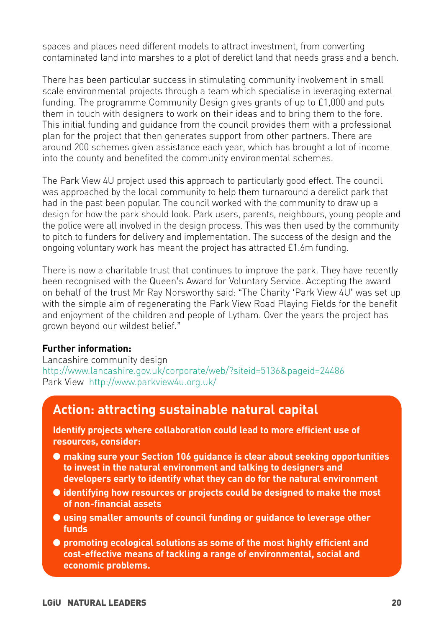spaces and places need different models to attract investment, from converting contaminated land into marshes to a plot of derelict land that needs grass and a bench.

There has been particular success in stimulating community involvement in small scale environmental projects through a team which specialise in leveraging external funding. The programme Community Design gives grants of up to £1,000 and puts them in touch with designers to work on their ideas and to bring them to the fore. This initial funding and guidance from the council provides them with a professional plan for the project that then generates support from other partners. There are around 200 schemes given assistance each year, which has brought a lot of income into the county and benefited the community environmental schemes.

The Park View 4U project used this approach to particularly good effect. The council was approached by the local community to help them turnaround a derelict park that had in the past been popular. The council worked with the community to draw up a design for how the park should look. Park users, parents, neighbours, young people and the police were all involved in the design process. This was then used by the community to pitch to funders for delivery and implementation. The success of the design and the ongoing voluntary work has meant the project has attracted £1.6m funding.

There is now a charitable trust that continues to improve the park. They have recently been recognised with the Queen's Award for Voluntary Service. Accepting the award on behalf of the trust Mr Ray Norsworthy said: "The Charity 'Park View 4U' was set up with the simple aim of regenerating the Park View Road Playing Fields for the benefit and enjoyment of the children and people of Lytham. Over the years the project has grown beyond our wildest belief."

#### **Further information:**

Lancashire community design <http://www.lancashire.gov.uk/corporate/web/?siteid=5136&pageid=24486> Park View <http://www.parkview4u.org.uk/>

## **Action: attracting sustainable natural capital**

**Identify projects where collaboration could lead to more efficient use of resources, consider:**

- **making sure your Section 106 guidance is clear about seeking opportunities to invest in the natural environment and talking to designers and developers early to identify what they can do for the natural environment**
- **identifying how resources or projects could be designed to make the most of non-financial assets**
- **using smaller amounts of council funding or guidance to leverage other funds**
- **promoting ecological solutions as some of the most highly efficient and cost-effective means of tackling a range of environmental, social and economic problems.**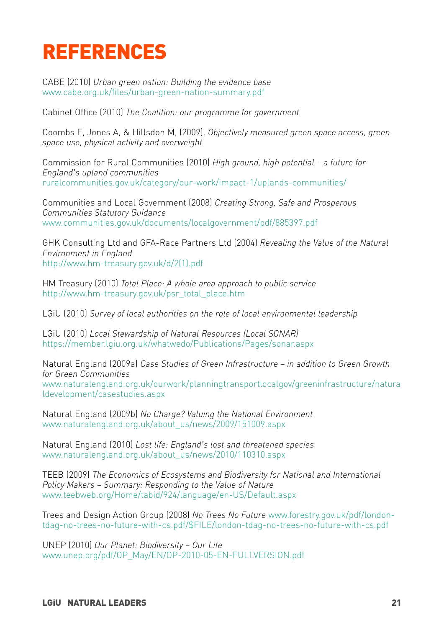## **REFERENCES**

CABE (2010) *Urban green nation: Building the evidence base* <www.cabe.org.uk/files/urban-green-nation-summary.pdf>

Cabinet Office (2010) *The Coalition: our programme for government*

Coombs E, Jones A, & Hillsdon M, (2009). *Objectively measured green space access, green space use, physical activity and overweight*

Commission for Rural Communities (2010) *High ground, high potential – a future for England's upland communities* <ruralcommunities.gov.uk/category/our-work/impact-1/uplands-communities/>

Communities and Local Government (2008) *Creating Strong, Safe and Prosperous Communities Statutory Guidance* <www.communities.gov.uk/documents/localgovernment/pdf/885397.pdf>

GHK Consulting Ltd and GFA-Race Partners Ltd (2004) *Revealing the Value of the Natural Environment in England* [http://www.hm-treasury.gov.uk/d/2\(1\).pdf](http://www.hm-treasury.gov.uk/d/2(1).pdf)

HM Treasury (2010) *Total Place: A whole area approach to public service* [http://www.hm-treasury.gov.uk/psr\\_total\\_place.htm](http://www.hm-treasury.gov.uk/psr_total_place.htm)

LGiU (2010) *Survey of local authorities on the role of local environmental leadership*

LGiU (2010) *Local Stewardship of Natural Resources (Local SONAR)*  <https://member.lgiu.org.uk/whatwedo/Publications/Pages/sonar.aspx>

Natural England (2009a) *Case Studies of Green Infrastructure – in addition to Green Growth for Green Communities* [www.naturalengland.org.uk/ourwork/planningtransportlocalgov/greeninfrastructure/natura](www.naturalengland.org.uk/ourwork/planningtransportlocalgov/greeninfrastructure/naturaldevelopment/casestudies.aspx) ldevelopment/casestudies.aspx

Natural England (2009b) *No Charge? Valuing the National Environment*  [www.naturalengland.org.uk/about\\_us/news/2009/151009.aspx](www.naturalengland.org.uk/about_us/news/2009/151009.aspx)

Natural England (2010) *Lost life: England's lost and threatened species* [www.naturalengland.org.uk/about\\_us/news/2010/110310.aspx](www.naturalengland.org.uk/about_us/news/2010/110310.aspx)

TEEB (2009) *The Economics of Ecosystems and Biodiversity for National and International Policy Makers – Summary: Responding to the Value of Nature* <www.teebweb.org/Home/tabid/924/language/en-US/Default.aspx>

Trees and Design Action Group (2008) *No Trees No Future* [www.forestry.gov.uk/pdf/london](www.forestry.gov.uk/pdf/london-tdag-no-trees-no-future-with-cs.pdf/$FILE/london-tdag-no-trees-no-future-with-cs.pdf)[tdag-no-trees-no-future-with-cs.pdf/\\$FILE/london-tdag-no-trees-no-future-with-cs.pdf](www.forestry.gov.uk/pdf/london-tdag-no-trees-no-future-with-cs.pdf/$FILE/london-tdag-no-trees-no-future-with-cs.pdf)

UNEP (2010) *Our Planet: Biodiversity – Our Life* [www.unep.org/pdf/OP\\_May/EN/OP-2010-05-EN-FULLVERSION.pdf](www.unep.org/pdf/OP_May/EN/OP-2010-05-EN-FULLVERSION.pdf)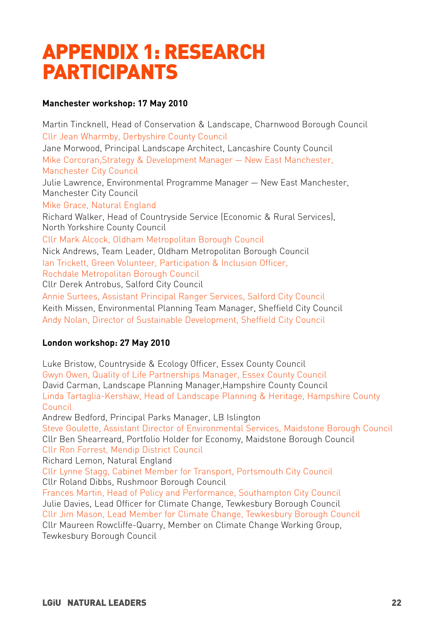## **APPENDIX 1: RESEARCH PARTICIPANTS**

#### **Manchester workshop: 17 May 2010**

Martin Tincknell, Head of Conservation & Landscape, Charnwood Borough Council Cllr Jean Wharmby, Derbyshire County Council Jane Morwood, Principal Landscape Architect, Lancashire County Council Mike Corcoran,Strategy & Development Manager — New East Manchester, Manchester City Council Julie Lawrence, Environmental Programme Manager — New East Manchester, Manchester City Council Mike Grace, Natural England Richard Walker, Head of Countryside Service (Economic & Rural Services), North Yorkshire County Council Cllr Mark Alcock, Oldham Metropolitan Borough Council Nick Andrews, Team Leader, Oldham Metropolitan Borough Council Ian Trickett, Green Volunteer, Participation & Inclusion Officer, Rochdale Metropolitan Borough Council Cllr Derek Antrobus, Salford City Council Annie Surtees, Assistant Principal Ranger Services, Salford City Council Keith Missen, Environmental Planning Team Manager, Sheffield City Council Andy Nolan, Director of Sustainable Development, Sheffield City Council

### **London workshop: 27 May 2010**

Luke Bristow, Countryside & Ecology Officer, Essex County Council Gwyn Owen, Quality of Life Partnerships Manager, Essex County Council David Carman, Landscape Planning Manager,Hampshire County Council Linda Tartaglia-Kershaw, Head of Landscape Planning & Heritage, Hampshire County Council Andrew Bedford, Principal Parks Manager, LB Islington Steve Goulette, Assistant Director of Environmental Services, Maidstone Borough Council Cllr Ben Shearreard, Portfolio Holder for Economy, Maidstone Borough Council Cllr Ron Forrest, Mendip District Council Richard Lemon, Natural England Cllr Lynne Stagg, Cabinet Member for Transport, Portsmouth City Council Cllr Roland Dibbs, Rushmoor Borough Council Frances Martin, Head of Policy and Performance, Southampton City Council Julie Davies, Lead Officer for Climate Change, Tewkesbury Borough Council Cllr Jim Mason, Lead Member for Climate Change, Tewkesbury Borough Council Cllr Maureen Rowcliffe-Quarry, Member on Climate Change Working Group, Tewkesbury Borough Council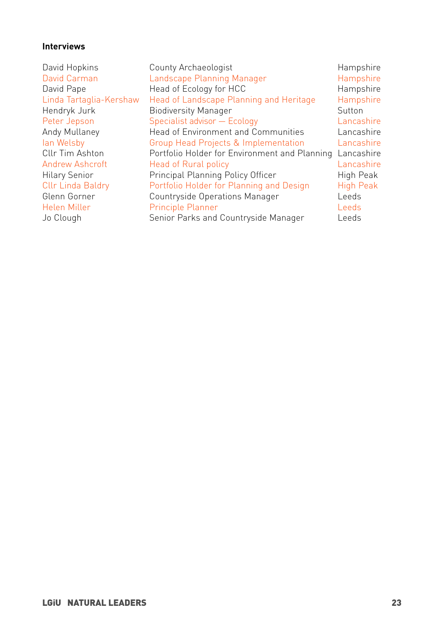### **Interviews**

| Hampshire        |
|------------------|
|                  |
| Hampshire        |
| Hampshire        |
| Sutton           |
| Lancashire       |
| Lancashire       |
| Lancashire       |
| Lancashire       |
| Lancashire       |
| High Peak        |
| <b>High Peak</b> |
| Leeds            |
| Leeds            |
| Leeds            |
|                  |